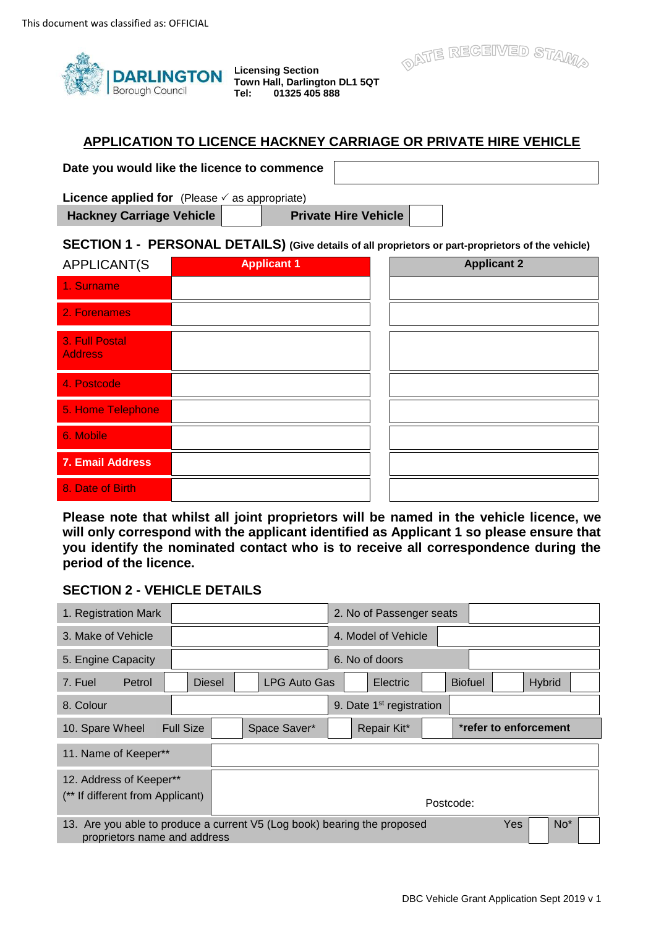

**Licensing Section Town Hall, Darlington DL1 5QT Tel: 01325 405 888** 

## **APPLICATION TO LICENCE HACKNEY CARRIAGE OR PRIVATE HIRE VEHICLE**

 **Date you would like the licence to commence** 

**Licence applied for** (Please  $\checkmark$  as appropriate)

Hackney Carriage Vehicle **Private Hire Vehicle** 

LJ

OATE REGEIVED STAMA

## **SECTION 1 - PERSONAL DETAILS) (Give details of all proprietors or part-proprietors of the vehicle)**

| APPLICANT(S                      | <b>Applicant 1</b> | <b>Applicant 2</b> |
|----------------------------------|--------------------|--------------------|
| 1. Surname                       |                    |                    |
| 2. Forenames                     |                    |                    |
| 3. Full Postal<br><b>Address</b> |                    |                    |
| 4. Postcode                      |                    |                    |
| 5. Home Telephone                |                    |                    |
| 6. Mobile                        |                    |                    |
| 7. Email Address                 |                    |                    |
| 8. Date of Birth                 |                    |                    |

 **Please note that whilst all joint proprietors will be named in the vehicle licence, we will only correspond with the applicant identified as Applicant 1 so please ensure that you identify the nominated contact who is to receive all correspondence during the period of the licence.** 

## **SECTION 2 - VEHICLE DETAILS**

| 1. Registration Mark                                                                                     |                  |                     | 2. No of Passenger seats             |           |                |                       |     |
|----------------------------------------------------------------------------------------------------------|------------------|---------------------|--------------------------------------|-----------|----------------|-----------------------|-----|
| 3. Make of Vehicle                                                                                       |                  |                     | 4. Model of Vehicle                  |           |                |                       |     |
| 5. Engine Capacity                                                                                       |                  |                     | 6. No of doors                       |           |                |                       |     |
| 7. Fuel<br>Petrol                                                                                        | <b>Diesel</b>    | <b>LPG Auto Gas</b> | Electric                             |           | <b>Biofuel</b> | <b>Hybrid</b>         |     |
| 8. Colour                                                                                                |                  |                     | 9. Date 1 <sup>st</sup> registration |           |                |                       |     |
| 10. Spare Wheel                                                                                          | <b>Full Size</b> | Space Saver*        | Repair Kit*                          |           |                | *refer to enforcement |     |
| 11. Name of Keeper**                                                                                     |                  |                     |                                      |           |                |                       |     |
| 12. Address of Keeper**<br>(** If different from Applicant)                                              |                  |                     |                                      | Postcode: |                |                       |     |
| 13. Are you able to produce a current V5 (Log book) bearing the proposed<br>proprietors name and address |                  |                     |                                      |           |                | Yes                   | No* |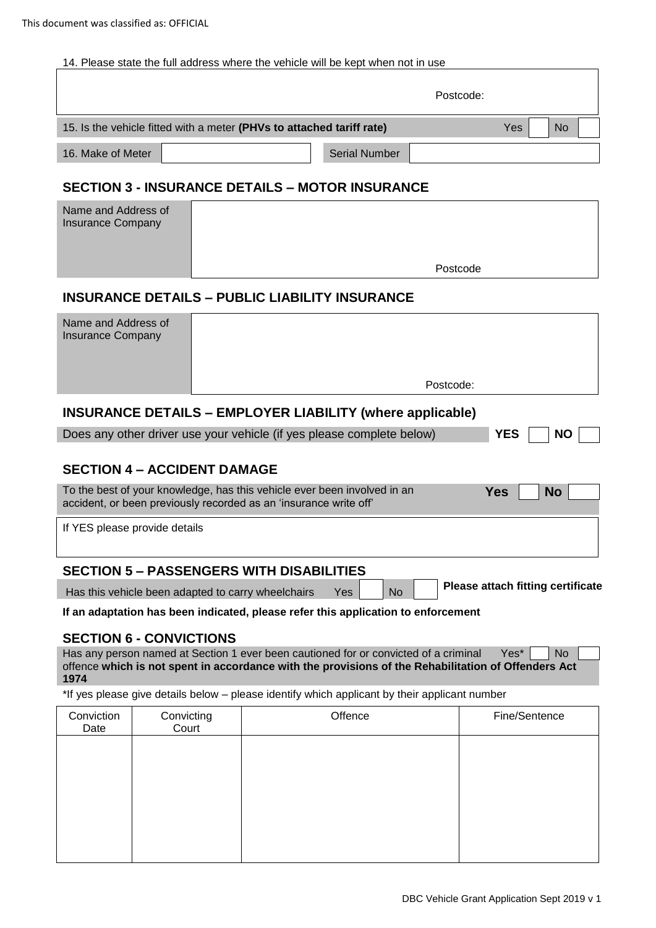## 14. Please state the full address where the vehicle will be kept when not in use

|                                                                       |                      | Postcode:        |    |  |  |
|-----------------------------------------------------------------------|----------------------|------------------|----|--|--|
| 15. Is the vehicle fitted with a meter (PHVs to attached tariff rate) |                      | Yes <sup>-</sup> | No |  |  |
| 16. Make of Meter                                                     | <b>Serial Number</b> |                  |    |  |  |

## **SECTION 3 - INSURANCE DETAILS – MOTOR INSURANCE**

| Name and Address of<br><b>Insurance Company</b> |          |
|-------------------------------------------------|----------|
|                                                 | Postcode |

## **INSURANCE DETAILS – PUBLIC LIABILITY INSURANCE**

| Postcode: |
|-----------|
|           |

## **INSURANCE DETAILS – EMPLOYER LIABILITY (where applicable)**

| Does any other driver use your vehicle (if yes please complete below) |  | $\neg$ YES $\neg$ NO $\neg$ |  |
|-----------------------------------------------------------------------|--|-----------------------------|--|
|                                                                       |  |                             |  |

## **SECTION 4 – ACCIDENT DAMAGE**

| To the best of your knowledge, has this vehicle ever been involved in an | Yes   No |  |
|--------------------------------------------------------------------------|----------|--|
| accident, or been previously recorded as an 'insurance write off'        |          |  |

If YES please provide details

## **SECTION 5 – PASSENGERS WITH DISABILITIES**

Has this vehicle been adapted to carry wheelchairs Yes No No Please attach fitting certificate

**IFC ITON 5 – PASSENGERS WITH DISABILITIES**<br>Has this vehicle been adapted to carry wheelchairs Yes No Reflease and application to enforcement<br>If an adaptation has been indicated, please refer this application to enforcemen

## **SECTION 6 - CONVICTIONS**

 $Yes^*$  No Has any person named at Section 1 ever been cautioned for or convicted of a criminal offence **which is not spent in accordance with the provisions of the Rehabilitation of Offenders Act 1974** 

\*If yes please give details below – please identify which applicant by their applicant number

| Offence | Fine/Sentence       |
|---------|---------------------|
|         |                     |
|         |                     |
|         |                     |
|         |                     |
|         | Convicting<br>Court |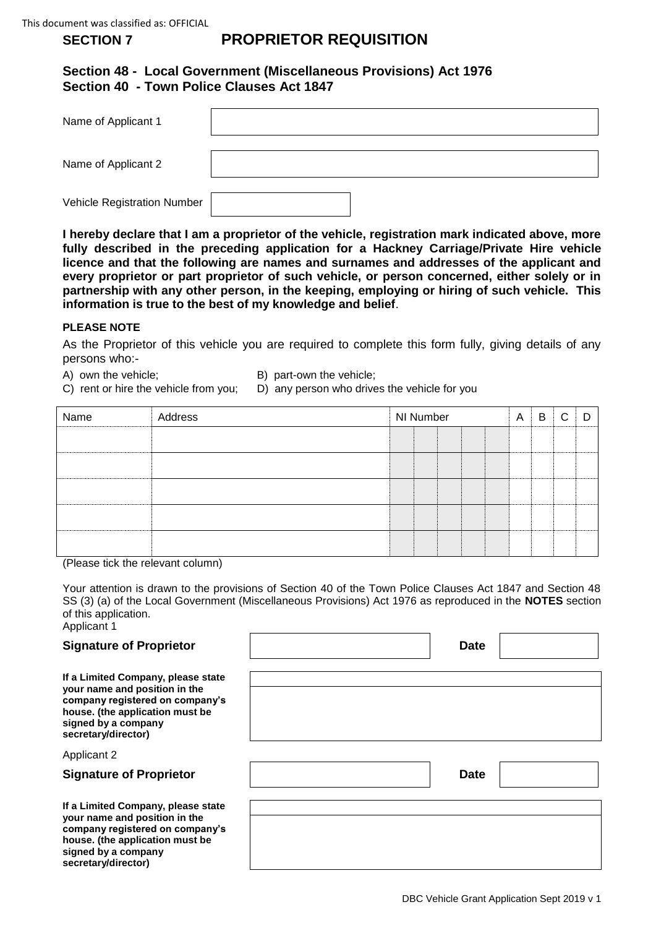### **SECTION 7 PROPRIETOR REQUISITION**

## **Section 48 - Local Government (Miscellaneous Provisions) Act 1976 Section 40 - Town Police Clauses Act 1847**

| Name of Applicant 1         |  |
|-----------------------------|--|
| Name of Applicant 2         |  |
| Vehicle Registration Number |  |

 **I hereby declare that I am a proprietor of the vehicle, registration mark indicated above, more fully described in the preceding application for a Hackney Carriage/Private Hire vehicle licence and that the following are names and surnames and addresses of the applicant and every proprietor or part proprietor of such vehicle, or person concerned, either solely or in partnership with any other person, in the keeping, employing or hiring of such vehicle. This information is true to the best of my knowledge and belief**.

## **PLEASE NOTE**

 As the Proprietor of this vehicle you are required to complete this form fully, giving details of any persons who:-

- A) own the vehicle: B) part-own the vehicle:
- C) rent or hire the vehicle from you; D) any person who drives the vehicle for you

| Name | Address | NI Number |  |  | A | B | C |  |  |
|------|---------|-----------|--|--|---|---|---|--|--|
|      |         |           |  |  |   |   |   |  |  |
|      |         |           |  |  |   |   |   |  |  |
|      |         |           |  |  |   |   |   |  |  |
|      |         |           |  |  |   |   |   |  |  |
|      |         |           |  |  |   |   |   |  |  |
|      |         |           |  |  |   |   |   |  |  |

(Please tick the relevant column)

 Your attention is drawn to the provisions of Section 40 of the Town Police Clauses Act 1847 and Section 48 SS (3) (a) of the Local Government (Miscellaneous Provisions) Act 1976 as reproduced in the **NOTES** section of this application. Applicant 1

| <b>Signature of Proprietor</b>                                                                                                                                                          | <b>Date</b> |  |
|-----------------------------------------------------------------------------------------------------------------------------------------------------------------------------------------|-------------|--|
| If a Limited Company, please state<br>your name and position in the<br>company registered on company's<br>house. (the application must be<br>signed by a company<br>secretary/director) |             |  |
| <b>Applicant 2</b>                                                                                                                                                                      |             |  |
| <b>Signature of Proprietor</b>                                                                                                                                                          | <b>Date</b> |  |
| If a Limited Company, please state<br>your name and position in the<br>company registered on company's<br>house. (the application must be<br>signed by a company<br>secretary/director) |             |  |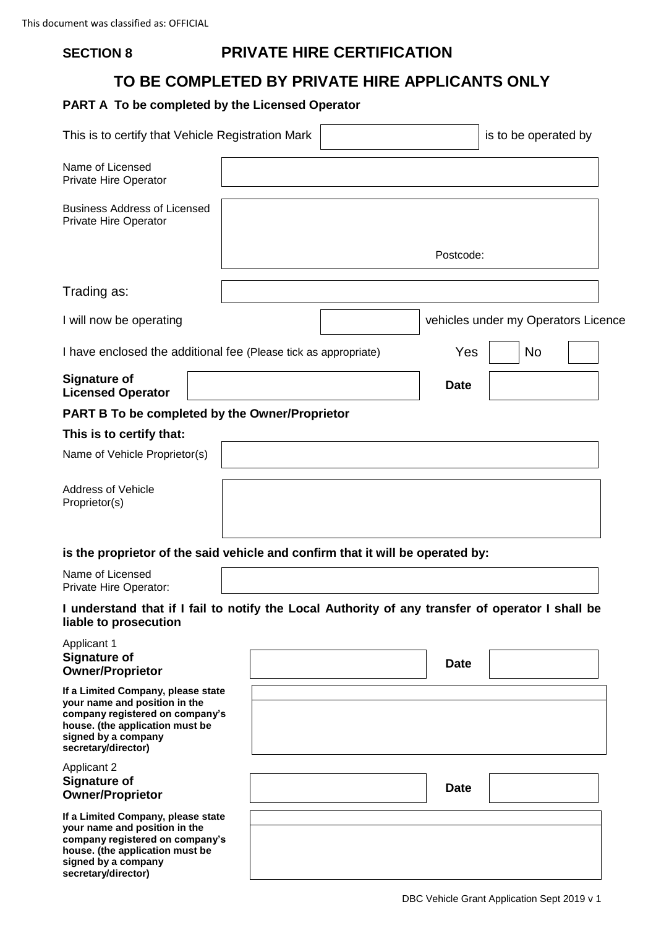## **SECTION 8 PRIVATE HIRE CERTIFICATION**

# **TO BE COMPLETED BY PRIVATE HIRE APPLICANTS ONLY**

# **PART A To be completed by the Licensed Operator**

| This is to certify that Vehicle Registration Mark                                                                                                                                       |  |                                     | is to be operated by |  |
|-----------------------------------------------------------------------------------------------------------------------------------------------------------------------------------------|--|-------------------------------------|----------------------|--|
| Name of Licensed<br>Private Hire Operator                                                                                                                                               |  |                                     |                      |  |
| <b>Business Address of Licensed</b><br>Private Hire Operator                                                                                                                            |  |                                     |                      |  |
|                                                                                                                                                                                         |  | Postcode:                           |                      |  |
| Trading as:                                                                                                                                                                             |  |                                     |                      |  |
| I will now be operating                                                                                                                                                                 |  | vehicles under my Operators Licence |                      |  |
| I have enclosed the additional fee (Please tick as appropriate)                                                                                                                         |  | Yes                                 | <b>No</b>            |  |
| <b>Signature of</b><br><b>Licensed Operator</b>                                                                                                                                         |  | <b>Date</b>                         |                      |  |
| <b>PART B To be completed by the Owner/Proprietor</b>                                                                                                                                   |  |                                     |                      |  |
| This is to certify that:                                                                                                                                                                |  |                                     |                      |  |
| Name of Vehicle Proprietor(s)                                                                                                                                                           |  |                                     |                      |  |
| <b>Address of Vehicle</b><br>Proprietor(s)                                                                                                                                              |  |                                     |                      |  |
| is the proprietor of the said vehicle and confirm that it will be operated by:                                                                                                          |  |                                     |                      |  |
| Name of Licensed<br>Private Hire Operator:                                                                                                                                              |  |                                     |                      |  |
| I understand that if I fail to notify the Local Authority of any transfer of operator I shall be<br>liable to prosecution                                                               |  |                                     |                      |  |
| <b>Applicant 1</b><br><b>Signature of</b><br><b>Owner/Proprietor</b>                                                                                                                    |  | <b>Date</b>                         |                      |  |
| If a Limited Company, please state<br>your name and position in the<br>company registered on company's<br>house. (the application must be<br>signed by a company<br>secretary/director) |  |                                     |                      |  |
| <b>Applicant 2</b><br><b>Signature of</b><br><b>Owner/Proprietor</b>                                                                                                                    |  | <b>Date</b>                         |                      |  |
| If a Limited Company, please state<br>your name and position in the<br>company registered on company's<br>house. (the application must be<br>signed by a company<br>secretary/director) |  |                                     |                      |  |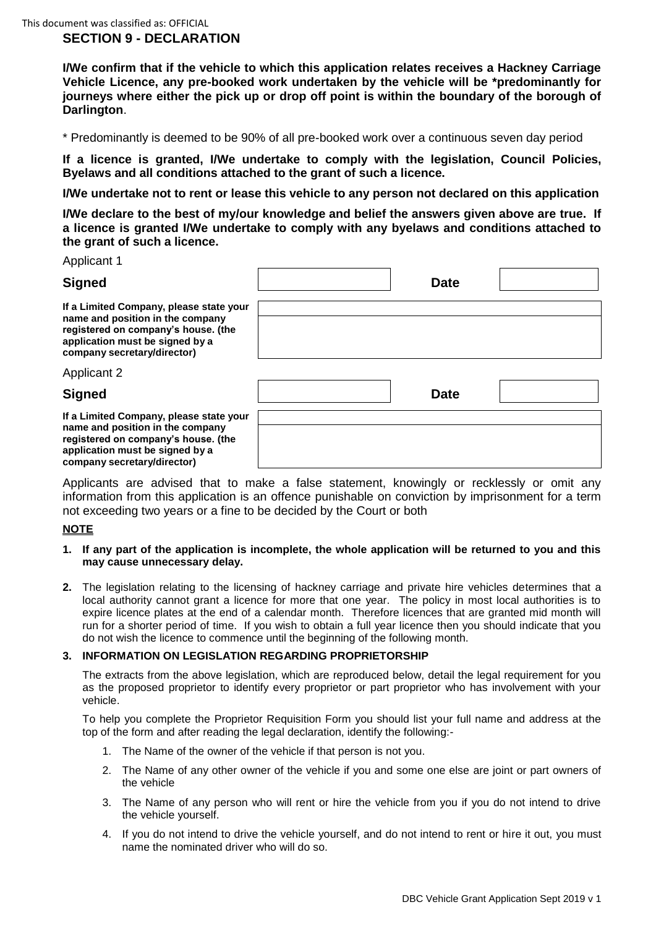## **SECTION 9 - DECLARATION**

 **I/We confirm that if the vehicle to which this application relates receives a Hackney Carriage Vehicle Licence, any pre-booked work undertaken by the vehicle will be \*predominantly for journeys where either the pick up or drop off point is within the boundary of the borough of Darlington**.

\* Predominantly is deemed to be 90% of all pre-booked work over a continuous seven day period

 **If a licence is granted, I/We undertake to comply with the legislation, Council Policies, Byelaws and all conditions attached to the grant of such a licence.** 

 **I/We undertake not to rent or lease this vehicle to any person not declared on this application** 

 **I/We declare to the best of my/our knowledge and belief the answers given above are true. If a licence is granted I/We undertake to comply with any byelaws and conditions attached to the grant of such a licence.** 

## Applicant 1

## Signed **Date Date Date Date**

**If a Limited Company, please state your name and position in the company registered on company's house. (the application must be signed by a company secretary/director)** 

**If a Limited Company, please state your name and position in the company registered on company's house. (the application must be signed by a company secretary/director)** 

| ir a Limited Company, piease state your<br>name and position in the company<br>registered on company's house. (the<br>application must be signed by a<br>company secretary/director) |             |  |
|--------------------------------------------------------------------------------------------------------------------------------------------------------------------------------------|-------------|--|
| <b>Applicant 2</b>                                                                                                                                                                   |             |  |
| <b>Signed</b>                                                                                                                                                                        | <b>Date</b> |  |
| If a Limited Company, please state your<br>name and position in the company<br>registered on company's house. (the<br>المستنبط المستنب والمستنقذ المستنبذ والمستنقذ والمستنبط        |             |  |

 Applicants are advised that to make a false statement, knowingly or recklessly or omit any information from this application is an offence punishable on conviction by imprisonment for a term not exceeding two years or a fine to be decided by the Court or both

## **NOTE**

- **1. If any part of the application is incomplete, the whole application will be returned to you and this may cause unnecessary delay.**
- **2.** The legislation relating to the licensing of hackney carriage and private hire vehicles determines that a local authority cannot grant a licence for more that one year. The policy in most local authorities is to expire licence plates at the end of a calendar month. Therefore licences that are granted mid month will run for a shorter period of time. If you wish to obtain a full year licence then you should indicate that you do not wish the licence to commence until the beginning of the following month.

## **3. INFORMATION ON LEGISLATION REGARDING PROPRIETORSHIP**

 as the proposed proprietor to identify every proprietor or part proprietor who has involvement with your The extracts from the above legislation, which are reproduced below, detail the legal requirement for you vehicle.

 To help you complete the Proprietor Requisition Form you should list your full name and address at the top of the form and after reading the legal declaration, identify the following:-

- 1. The Name of the owner of the vehicle if that person is not you.
- 2. The Name of any other owner of the vehicle if you and some one else are joint or part owners of the vehicle
- 3. The Name of any person who will rent or hire the vehicle from you if you do not intend to drive the vehicle yourself.
- 4. If you do not intend to drive the vehicle yourself, and do not intend to rent or hire it out, you must name the nominated driver who will do so.